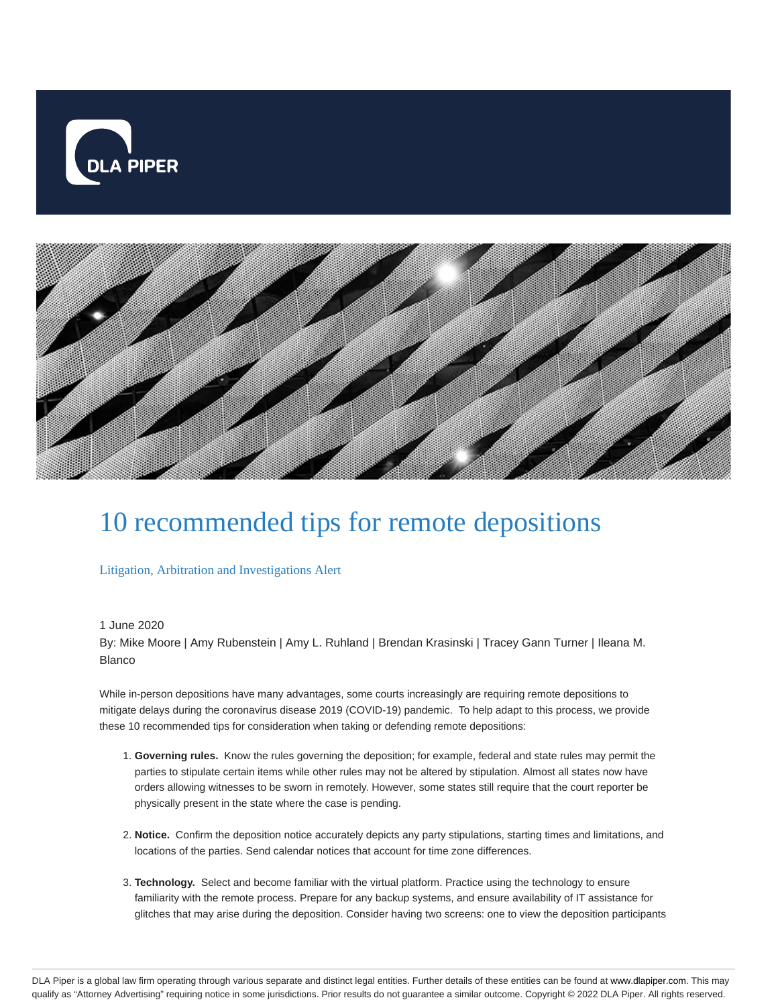



## 10 recommended tips for remote depositions

Litigation, Arbitration and Investigations Alert

## 1 June 2020

By: Mike Moore | Amy Rubenstein | Amy L. Ruhland | Brendan Krasinski | Tracey Gann Turner | Ileana M. Blanco

While in-person depositions have many advantages, some courts increasingly are requiring remote depositions to mitigate delays during the coronavirus disease 2019 (COVID-19) pandemic. To help adapt to this process, we provide these 10 recommended tips for consideration when taking or defending remote depositions:

- **Governing rules.** Know the rules governing the deposition; for example, federal and state rules may permit the 1. parties to stipulate certain items while other rules may not be altered by stipulation. Almost all states now have orders allowing witnesses to be sworn in remotely. However, some states still require that the court reporter be physically present in the state where the case is pending.
- **Notice.** Confirm the deposition notice accurately depicts any party stipulations, starting times and limitations, and 2. locations of the parties. Send calendar notices that account for time zone differences.
- **Technology.** Select and become familiar with the virtual platform. Practice using the technology to ensure 3. familiarity with the remote process. Prepare for any backup systems, and ensure availability of IT assistance for glitches that may arise during the deposition. Consider having two screens: one to view the deposition participants

DLA Piper is a global law firm operating through various separate and distinct legal entities. Further details of these entities can be found at www.dlapiper.com. This may qualify as "Attorney Advertising" requiring notice in some jurisdictions. Prior results do not guarantee a similar outcome. Copyright © 2022 DLA Piper. All rights reserved.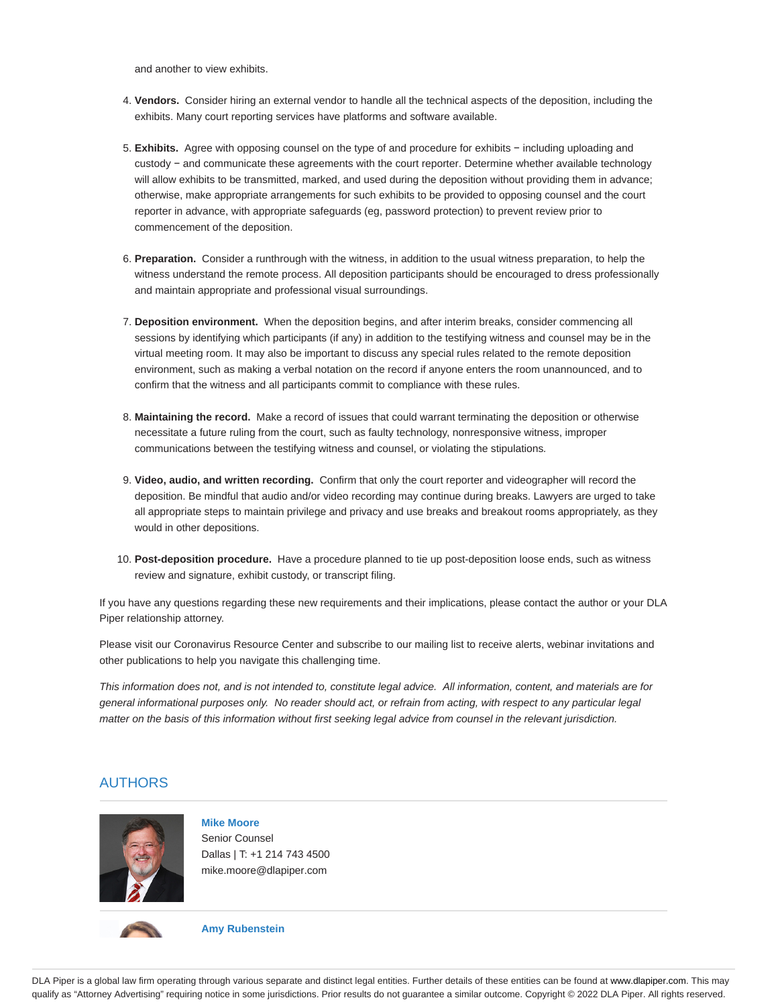and another to view exhibits.

- **Vendors.** Consider hiring an external vendor to handle all the technical aspects of the deposition, including the 4. exhibits. Many court reporting services have platforms and software available.
- **Exhibits.** Agree with opposing counsel on the type of and procedure for exhibits − including uploading and 5. custody − and communicate these agreements with the court reporter. Determine whether available technology will allow exhibits to be transmitted, marked, and used during the deposition without providing them in advance; otherwise, make appropriate arrangements for such exhibits to be provided to opposing counsel and the court reporter in advance, with appropriate safeguards (eg, password protection) to prevent review prior to commencement of the deposition.
- **Preparation.** Consider a runthrough with the witness, in addition to the usual witness preparation, to help the 6. witness understand the remote process. All deposition participants should be encouraged to dress professionally and maintain appropriate and professional visual surroundings.
- **Deposition environment.** When the deposition begins, and after interim breaks, consider commencing all 7. sessions by identifying which participants (if any) in addition to the testifying witness and counsel may be in the virtual meeting room. It may also be important to discuss any special rules related to the remote deposition environment, such as making a verbal notation on the record if anyone enters the room unannounced, and to confirm that the witness and all participants commit to compliance with these rules.
- **Maintaining the record.** Make a record of issues that could warrant terminating the deposition or otherwise 8. necessitate a future ruling from the court, such as faulty technology, nonresponsive witness, improper communications between the testifying witness and counsel, or violating the stipulations.
- **Video, audio, and written recording.** Confirm that only the court reporter and videographer will record the 9. deposition. Be mindful that audio and/or video recording may continue during breaks. Lawyers are urged to take all appropriate steps to maintain privilege and privacy and use breaks and breakout rooms appropriately, as they would in other depositions.
- **Post-deposition procedure.** Have a procedure planned to tie up post-deposition loose ends, such as witness 10. review and signature, exhibit custody, or transcript filing.

If you have any questions regarding these new requirements and their implications, please contact the author or your DLA Piper relationship attorney.

Please visit our Coronavirus Resource Center and subscribe to our mailing list to receive alerts, webinar invitations and other publications to help you navigate this challenging time.

This information does not, and is not intended to, constitute legal advice. All information, content, and materials are for general informational purposes only. No reader should act, or refrain from acting, with respect to any particular legal matter on the basis of this information without first seeking legal advice from counsel in the relevant jurisdiction.

## AUTHORS



**Mike Moore** Senior Counsel Dallas | T: +1 214 743 4500 mike.moore@dlapiper.com



**Amy Rubenstein**

DLA Piper is a global law firm operating through various separate and distinct legal entities. Further details of these entities can be found at www.dlapiper.com. This may qualify as "Attorney Advertising" requiring notice in some jurisdictions. Prior results do not guarantee a similar outcome. Copyright © 2022 DLA Piper. All rights reserved.